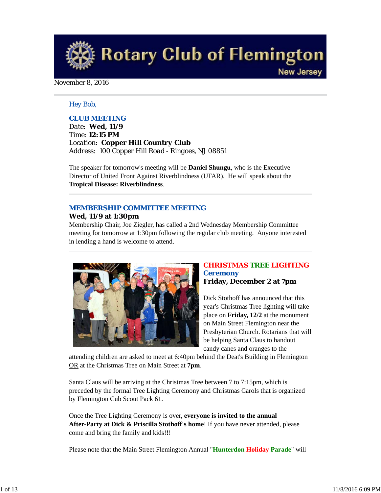**Rotary Club of Flemington New Jersey** 

#### November 8, 2016

### *Hey Bob,*

## *CLUB MEETING*

*Date: Wed, 11/9 Time: 12:15 PM Location: Copper Hill Country Club Address: 100 Copper Hill Road - Ringoes, NJ 08851*

The speaker for tomorrow's meeting will be **Daniel Shungu**, who is the Executive Director of United Front Against Riverblindness (UFAR). He will speak about the **Tropical Disease: Riverblindness**.

## *MEMBERSHIP COMMITTEE MEETING*

#### **Wed, 11/9 at 1:30pm**

Membership Chair, Joe Ziegler, has called a 2nd Wednesday Membership Committee meeting for tomorrow at 1:30pm following the regular club meeting. Anyone interested in lending a hand is welcome to attend.



### *CHRISTMAS TREE LIGHTING Ceremony* **Friday, December 2 at 7pm**

Dick Stothoff has announced that this year's Christmas Tree lighting will take place on **Friday, 12/2** at the monument on Main Street Flemington near the Presbyterian Church. Rotarians that will be helping Santa Claus to handout candy canes and oranges to the

attending children are asked to meet at 6:40pm behind the Deat's Building in Flemington OR at the Christmas Tree on Main Street at **7pm**.

Santa Claus will be arriving at the Christmas Tree between 7 to 7:15pm, which is preceded by the formal Tree Lighting Ceremony and Christmas Carols that is organized by Flemington Cub Scout Pack 61.

Once the Tree Lighting Ceremony is over, **everyone is invited to the annual After-Party at Dick & Priscilla Stothoff's home**! If you have never attended, please come and bring the family and kids!!!

Please note that the Main Street Flemington Annual "**Hunterdon Holiday Parade**" will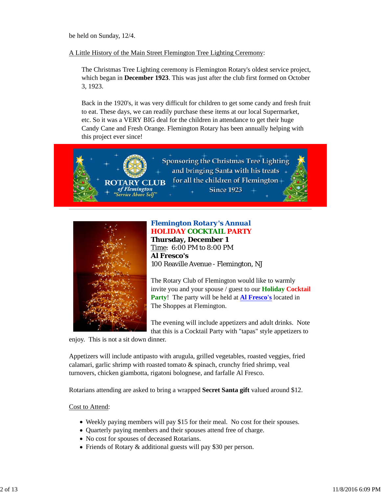be held on Sunday, 12/4.

A Little History of the Main Street Flemington Tree Lighting Ceremony:

The Christmas Tree Lighting ceremony is Flemington Rotary's oldest service project, which began in **December 1923**. This was just after the club first formed on October 3, 1923.

Back in the 1920's, it was very difficult for children to get some candy and fresh fruit to eat. These days, we can readily purchase these items at our local Supermarket, etc. So it was a VERY BIG deal for the children in attendance to get their huge Candy Cane and Fresh Orange. Flemington Rotary has been annually helping with this project ever since!





*Flemington Rotary's Annual* **HOLIDAY COCKTAIL PARTY Thursday, December 1** Time: 6:00 PM to 8:00 PM **Al Fresco's** 100 Reaville Avenue - Flemington, NJ

The Rotary Club of Flemington would like to warmly invite you and your spouse / guest to our **Holiday Cocktail Party**! The party will be held at **Al Fresco's** located in The Shoppes at Flemington.

The evening will include appetizers and adult drinks. Note that this is a Cocktail Party with "tapas" style appetizers to

enjoy. This is not a sit down dinner.

Appetizers will include antipasto with arugula, grilled vegetables, roasted veggies, fried calamari, garlic shrimp with roasted tomato & spinach, crunchy fried shrimp, veal turnovers, chicken giambotta, rigatoni bolognese, and farfalle Al Fresco.

Rotarians attending are asked to bring a wrapped **Secret Santa gift** valued around \$12.

## Cost to Attend:

- Weekly paying members will pay \$15 for their meal. No cost for their spouses.
- Quarterly paying members and their spouses attend free of charge.
- No cost for spouses of deceased Rotarians.
- Friends of Rotary & additional guests will pay \$30 per person.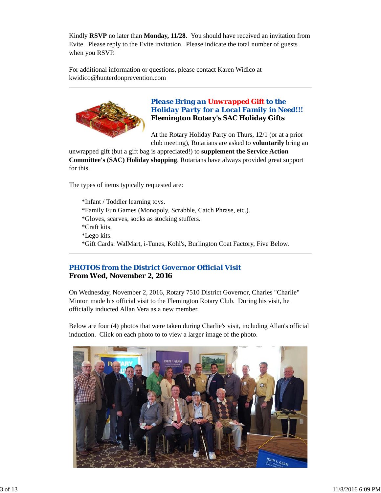Kindly **RSVP** no later than **Monday, 11/28**. You should have received an invitation from Evite. Please reply to the Evite invitation. Please indicate the total number of guests when you RSVP.

For additional information or questions, please contact Karen Widico at kwidico@hunterdonprevention.com



## *Please Bring an Unwrapped Gift to the Holiday Party for a Local Family in Need!!!* **Flemington Rotary's SAC Holiday Gifts**

At the Rotary Holiday Party on Thurs, 12/1 (or at a prior club meeting), Rotarians are asked to **voluntarily** bring an

unwrapped gift (but a gift bag is appreciated!) to **supplement the Service Action Committee's (SAC) Holiday shopping**. Rotarians have always provided great support for this.

The types of items typically requested are:

\*Infant / Toddler learning toys. \*Family Fun Games (Monopoly, Scrabble, Catch Phrase, etc.). \*Gloves, scarves, socks as stocking stuffers. \*Craft kits. \*Lego kits. \*Gift Cards: WalMart, i-Tunes, Kohl's, Burlington Coat Factory, Five Below.

## *PHOTOS from the District Governor Official Visit* **From Wed, November 2, 2016**

On Wednesday, November 2, 2016, Rotary 7510 District Governor, Charles "Charlie" Minton made his official visit to the Flemington Rotary Club. During his visit, he officially inducted Allan Vera as a new member.

Below are four (4) photos that were taken during Charlie's visit, including Allan's official induction. Click on each photo to to view a larger image of the photo.

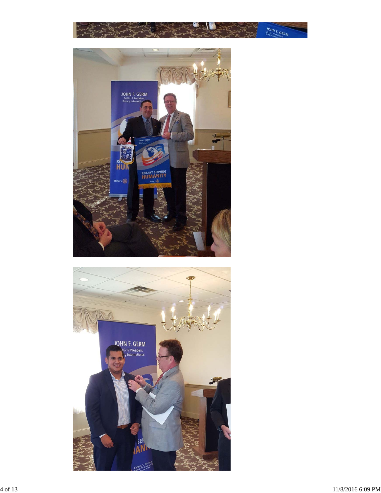

 $\mathbf{E}$ 

 $\underset{\genfrac{}{}{0pt}{}{s_{\mathcal{O}}_{\mathcal{U}_{\mathcal{U}_{\mathcal{V}}}}P_{\mathcal{V}}\mathrel{\mathop{\mathsf{G}}\mathrel{\mathsf{G}}\mathrel{\mathsf{F}}\mathrel{\mathsf{R}}\mathrel{\mathsf{N}}\mathrel{\mathsf{M}}\mathrel{\mathsf{M}}\mathrel{\mathsf{M}}\mathrel{\mathsf{M}}\mathrel{\mathsf{M}}\mathrel{\mathsf{M}}\mathrel{\mathsf{M}}\mathrel{\mathsf{M}}\mathrel{\mathsf{M}}\mathrel{\mathsf{M}}\mathrel{\mathsf{M}}\mathrel{\mathsf{M}}\mathrel{\mathsf{M}}\mathrel{\math$ 

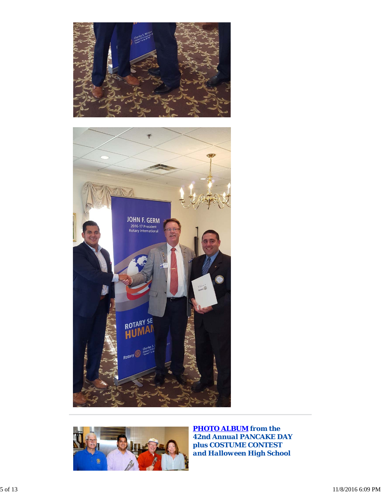



医

*PHOTO ALBUM from the 42nd Annual PANCAKE DAY plus COSTUME CONTEST and Halloween High School*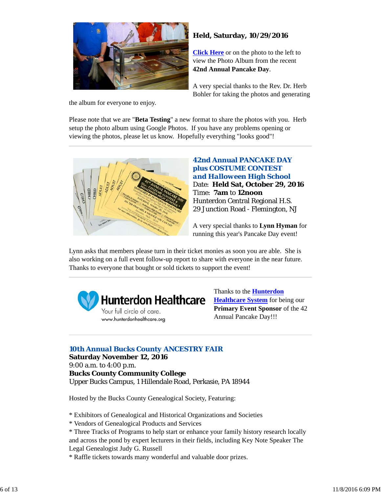

the album for everyone to enjoy.

# **Held, Saturday, 10/29/2016**

**Click Here** or on the photo to the left to view the Photo Album from the recent **42nd Annual Pancake Day**.

A very special thanks to the Rev. Dr. Herb Bohler for taking the photos and generating

Please note that we are "**Beta Testing**" a new format to share the photos with you. Herb setup the photo album using Google Photos. If you have any problems opening or viewing the photos, please let us know. Hopefully everything "looks good"!



## **42nd Annual PANCAKE DAY plus COSTUME CONTEST**  *and Halloween High School* Date: **Held Sat, October 29, 2016** Time: **7am** to **12noon** Hunterdon Central Regional H.S. 29 Junction Road - Flemington, NJ

A very special thanks to **Lynn Hyman** for running this year's Pancake Day event!

Lynn asks that members please turn in their ticket monies as soon you are able. She is also working on a full event follow-up report to share with everyone in the near future. Thanks to everyone that bought or sold tickets to support the event!



Thanks to the **Hunterdon Healthcare System** for being our **Primary Event Sponsor** of the 42 Annual Pancake Day!!!

# *10th Annual Bucks County ANCESTRY FAIR*

**Saturday November 12, 2016** 9:00 a.m. to 4:00 p.m. **Bucks County Community College** Upper Bucks Campus, 1 Hillendale Road, Perkasie, PA 18944

Hosted by the Bucks County Genealogical Society, Featuring:

\* Exhibitors of Genealogical and Historical Organizations and Societies

\* Vendors of Genealogical Products and Services

\* Three Tracks of Programs to help start or enhance your family history research locally and across the pond by expert lecturers in their fields, including Key Note Speaker The Legal Genealogist Judy G. Russell

\* Raffle tickets towards many wonderful and valuable door prizes.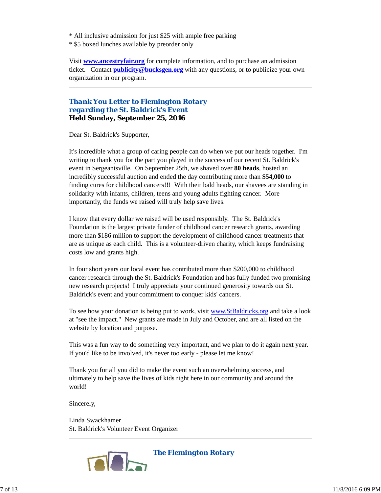\* All inclusive admission for just \$25 with ample free parking

\* \$5 boxed lunches available by preorder only

Visit **www.ancestryfair.org** for complete information, and to purchase an admission ticket. Contact **publicity@bucksgen.org** with any questions, or to publicize your own organization in our program.

## *Thank You Letter to Flemington Rotary regarding the St. Baldrick's Event* **Held Sunday, September 25, 2016**

Dear St. Baldrick's Supporter,

It's incredible what a group of caring people can do when we put our heads together. I'm writing to thank you for the part you played in the success of our recent St. Baldrick's event in Sergeantsville. On September 25th, we shaved over **80 heads**, hosted an incredibly successful auction and ended the day contributing more than **\$54,000** to finding cures for childhood cancers!!! With their bald heads, our shavees are standing in solidarity with infants, children, teens and young adults fighting cancer. More importantly, the funds we raised will truly help save lives.

I know that every dollar we raised will be used responsibly. The St. Baldrick's Foundation is the largest private funder of childhood cancer research grants, awarding more than \$186 million to support the development of childhood cancer treatments that are as unique as each child. This is a volunteer-driven charity, which keeps fundraising costs low and grants high.

In four short years our local event has contributed more than \$200,000 to childhood cancer research through the St. Baldrick's Foundation and has fully funded two promising new research projects! I truly appreciate your continued generosity towards our St. Baldrick's event and your commitment to conquer kids' cancers.

To see how your donation is being put to work, visit www.StBaldricks.org and take a look at "see the impact." New grants are made in July and October, and are all listed on the website by location and purpose.

This was a fun way to do something very important, and we plan to do it again next year. If you'd like to be involved, it's never too early - please let me know!

Thank you for all you did to make the event such an overwhelming success, and ultimately to help save the lives of kids right here in our community and around the world!

Sincerely,

Linda Swackhamer St. Baldrick's Volunteer Event Organizer

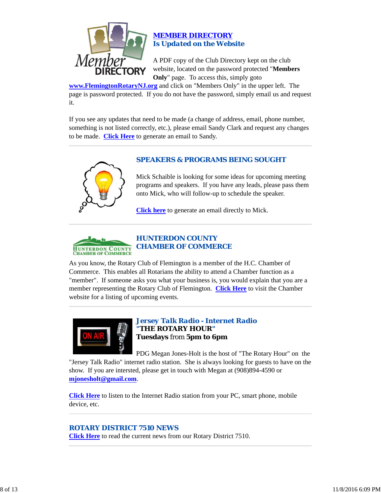

## *MEMBER DIRECTORY Is Updated on the Website*

A PDF copy of the Club Directory kept on the club website, located on the password protected "**Members Only**" page. To access this, simply goto

**www.FlemingtonRotaryNJ.org** and click on "Members Only" in the upper left. The page is password protected. If you do not have the password, simply email us and request it.

If you see any updates that need to be made (a change of address, email, phone number, something is not listed correctly, etc.), please email Sandy Clark and request any changes to be made. **Click Here** to generate an email to Sandy.

# *SPEAKERS & PROGRAMS BEING SOUGHT*



Mick Schaible is looking for some ideas for upcoming meeting programs and speakers. If you have any leads, please pass them onto Mick, who will follow-up to schedule the speaker.

**Click here** to generate an email directly to Mick.



As you know, the Rotary Club of Flemington is a member of the H.C. Chamber of Commerce. This enables all Rotarians the ability to attend a Chamber function as a "member". If someone asks you what your business is, you would explain that you are a member representing the Rotary Club of Flemington. **Click Here** to visit the Chamber website for a listing of upcoming events.



## *Jersey Talk Radio - Internet Radio "THE ROTARY HOUR"* **Tuesdays** from **5pm to 6pm**

PDG Megan Jones-Holt is the host of "The Rotary Hour" on the "Jersey Talk Radio" internet radio station. She is always looking for guests to have on the show. If you are intersted, please get in touch with Megan at (908)894-4590 or **mjonesholt@gmail.com**.

**Click Here** to listen to the Internet Radio station from your PC, smart phone, mobile device, etc.

## *ROTARY DISTRICT 7510 NEWS*

**Click Here** to read the current news from our Rotary District 7510.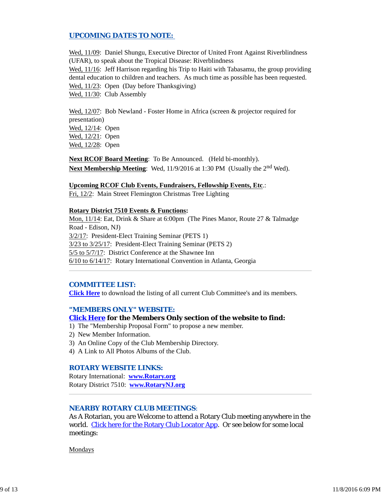## *UPCOMING DATES TO NOTE:*

Wed, 11/09: Daniel Shungu, Executive Director of United Front Against Riverblindness (UFAR), to speak about the Tropical Disease: Riverblindness Wed,  $11/16$ : Jeff Harrison regarding his Trip to Haiti with Tabasamu, the group providing dental education to children and teachers. As much time as possible has been requested. Wed, 11/23: Open (Day before Thanksgiving) Wed, 11/30: Club Assembly

Wed, 12/07: Bob Newland - Foster Home in Africa (screen & projector required for presentation) Wed, 12/14: Open Wed, 12/21: Open Wed, 12/28: Open

**Next RCOF Board Meeting:** To Be Announced. (Held bi-monthly). **Next Membership Meeting**: Wed, 11/9/2016 at 1:30 PM (Usually the 2<sup>nd</sup> Wed).

#### **Upcoming RCOF Club Events, Fundraisers, Fellowship Events, Etc**.:

Fri, 12/2: Main Street Flemington Christmas Tree Lighting

#### **Rotary District 7510 Events & Functions:**

Mon, 11/14: Eat, Drink & Share at 6:00pm (The Pines Manor, Route 27 & Talmadge Road - Edison, NJ) 3/2/17: President-Elect Training Seminar (PETS 1) 3/23 to 3/25/17: President-Elect Training Seminar (PETS 2) 5/5 to 5/7/17: District Conference at the Shawnee Inn 6/10 to 6/14/17: Rotary International Convention in Atlanta, Georgia

#### *COMMITTEE LIST:*

**Click Here** to download the listing of all current Club Committee's and its members.

## *"MEMBERS ONLY" WEBSITE:*

## **Click Here for the Members Only section of the website to find:**

- 1) The "Membership Proposal Form" to propose a new member.
- 2) New Member Information.
- 3) An Online Copy of the Club Membership Directory.
- 4) A Link to All Photos Albums of the Club.

### *ROTARY WEBSITE LINKS:*

Rotary International: **www.Rotary.org** Rotary District 7510: **www.RotaryNJ.org**

### *NEARBY ROTARY CLUB MEETINGS:*

As A Rotarian, you are Welcome to attend a Rotary Club meeting anywhere in the world. Click here for the Rotary Club Locator App. Or see below for some local meetings:

Mondays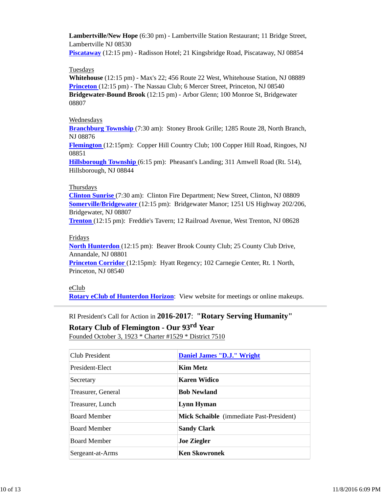**Lambertville/New Hope** (6:30 pm) - Lambertville Station Restaurant; 11 Bridge Street, Lambertville NJ 08530

**Piscataway** (12:15 pm) - Radisson Hotel; 21 Kingsbridge Road, Piscataway, NJ 08854

## **Tuesdays**

**Whitehouse** (12:15 pm) - Max's 22; 456 Route 22 West, Whitehouse Station, NJ 08889 **Princeton** (12:15 pm) - The Nassau Club; 6 Mercer Street, Princeton, NJ 08540 **Bridgewater-Bound Brook** (12:15 pm) - Arbor Glenn; 100 Monroe St, Bridgewater 08807

## **Wednesdays**

**Branchburg Township** (7:30 am): Stoney Brook Grille; 1285 Route 28, North Branch, NJ 08876

**Flemington** (12:15pm): Copper Hill Country Club; 100 Copper Hill Road, Ringoes, NJ 08851

**Hillsborough Township** (6:15 pm): Pheasant's Landing; 311 Amwell Road (Rt. 514), Hillsborough, NJ 08844

## **Thursdays**

**Clinton Sunrise** (7:30 am): Clinton Fire Department; New Street, Clinton, NJ 08809 **Somerville/Bridgewater** (12:15 pm): Bridgewater Manor; 1251 US Highway 202/206, Bridgewater, NJ 08807

**Trenton** (12:15 pm): Freddie's Tavern; 12 Railroad Avenue, West Trenton, NJ 08628

## Fridays

**North Hunterdon** (12:15 pm): Beaver Brook County Club; 25 County Club Drive, Annandale, NJ 08801

**Princeton Corridor** (12:15pm): Hyatt Regency; 102 Carnegie Center, Rt. 1 North, Princeton, NJ 08540

## eClub

**Rotary eClub of Hunterdon Horizon**: View website for meetings or online makeups.

## RI President's Call for Action in **2016-2017**: **"Rotary Serving Humanity"**

**Rotary Club of Flemington - Our 93rd Year**

Founded October 3, 1923 \* Charter #1529 \* District 7510

| Club President      | <b>Daniel James "D.J." Wright</b>        |
|---------------------|------------------------------------------|
| President-Elect     | <b>Kim Metz</b>                          |
| Secretary           | <b>Karen Widico</b>                      |
| Treasurer, General  | <b>Bob Newland</b>                       |
| Treasurer, Lunch    | Lynn Hyman                               |
| <b>Board Member</b> | Mick Schaible (immediate Past-President) |
| <b>Board Member</b> | <b>Sandy Clark</b>                       |
| <b>Board Member</b> | <b>Joe Ziegler</b>                       |
| Sergeant-at-Arms    | <b>Ken Skowronek</b>                     |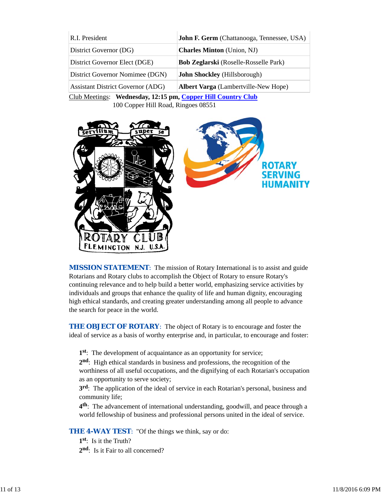| R.I. President                           | John F. Germ (Chattanooga, Tennessee, USA)   |
|------------------------------------------|----------------------------------------------|
| District Governor (DG)                   | <b>Charles Minton</b> (Union, NJ)            |
| District Governor Elect (DGE)            | <b>Bob Zeglarski</b> (Roselle-Rosselle Park) |
| District Governor Nomimee (DGN)          | <b>John Shockley</b> (Hillsborough)          |
| <b>Assistant District Governor (ADG)</b> | <b>Albert Varga</b> (Lambertville-New Hope)  |
|                                          |                                              |

Club Meetings: **Wednesday, 12:15 pm, Copper Hill Country Club** 100 Copper Hill Road, Ringoes 08551



*MISSION STATEMENT*: The mission of Rotary International is to assist and guide Rotarians and Rotary clubs to accomplish the Object of Rotary to ensure Rotary's continuing relevance and to help build a better world, emphasizing service activities by individuals and groups that enhance the quality of life and human dignity, encouraging high ethical standards, and creating greater understanding among all people to advance the search for peace in the world.

**THE OBJECT OF ROTARY:** The object of Rotary is to encourage and foster the ideal of service as a basis of worthy enterprise and, in particular, to encourage and foster:

**1st**: The development of acquaintance as an opportunity for service;

**2nd**: High ethical standards in business and professions, the recognition of the worthiness of all useful occupations, and the dignifying of each Rotarian's occupation as an opportunity to serve society;

**3rd**: The application of the ideal of service in each Rotarian's personal, business and community life;

**4th**: The advancement of international understanding, goodwill, and peace through a world fellowship of business and professional persons united in the ideal of service.

**THE 4-WAY TEST:** "Of the things we think, say or do:

**1st**: Is it the Truth? 2<sup>nd</sup>: Is it Fair to all concerned?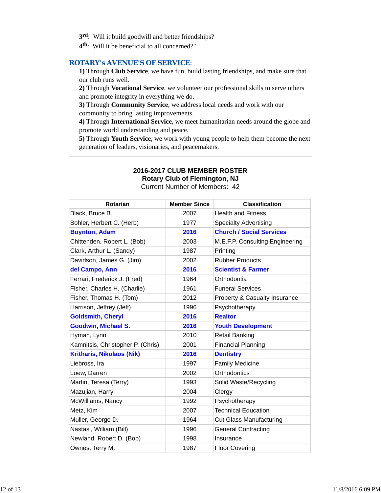- **3rd**: Will it build goodwill and better friendships?
- **4th**: Will it be beneficial to all concerned?"

#### *ROTARY's AVENUE'S OF SERVICE*:

**1)** Through **Club Service**, we have fun, build lasting friendships, and make sure that our club runs well.

**2)** Through **Vocational Service**, we volunteer our professional skills to serve others and promote integrity in everything we do.

**3)** Through **Community Service**, we address local needs and work with our community to bring lasting improvements.

**4)** Through **International Service**, we meet humanitarian needs around the globe and promote world understanding and peace.

**5)** Through **Youth Service**, we work with young people to help them become the next generation of leaders, visionaries, and peacemakers.

## **2016-2017 CLUB MEMBER ROSTER**

**Rotary Club of Flemington, NJ**

Current Number of Members: 42

| <b>Rotarian</b>                   | <b>Member Since</b> | <b>Classification</b>           |
|-----------------------------------|---------------------|---------------------------------|
| Black, Bruce B.                   | 2007                | <b>Health and Fitness</b>       |
| Bohler, Herbert C. (Herb)         | 1977                | <b>Specialty Advertising</b>    |
| <b>Boynton, Adam</b>              | 2016                | <b>Church / Social Services</b> |
| Chittenden, Robert L. (Bob)       | 2003                | M.E.F.P. Consulting Engineering |
| Clark, Arthur L. (Sandy)          | 1987                | Printing                        |
| Davidson, James G. (Jim)          | 2002                | <b>Rubber Products</b>          |
| del Campo, Ann                    | 2016                | <b>Scientist &amp; Farmer</b>   |
| Ferrari, Frederick J. (Fred)      | 1964                | Orthodontia                     |
| Fisher, Charles H. (Charlie)      | 1961                | <b>Funeral Services</b>         |
| Fisher, Thomas H. (Tom)           | 2012                | Property & Casualty Insurance   |
| Harrison, Jeffrey (Jeff)          | 1996                | Psychotherapy                   |
| <b>Goldsmith, Cheryl</b>          | 2016                | <b>Realtor</b>                  |
| <b>Goodwin, Michael S.</b>        | 2016                | <b>Youth Development</b>        |
| Hyman, Lynn                       | 2010                | <b>Retail Banking</b>           |
| Kamnitsis, Christopher P. (Chris) | 2001                | <b>Financial Planning</b>       |
| <b>Kritharis, Nikolaos (Nik)</b>  | 2016                | <b>Dentistry</b>                |
| Liebross, Ira                     | 1997                | <b>Family Medicine</b>          |
| Loew, Darren                      | 2002                | Orthodontics                    |
| Martin, Teresa (Terry)            | 1993                | Solid Waste/Recycling           |
| Mazujian, Harry                   | 2004                | Clergy                          |
| McWilliams, Nancy                 | 1992                | Psychotherapy                   |
| Metz, Kim                         | 2007                | <b>Technical Education</b>      |
| Muller, George D.                 | 1964                | <b>Cut Glass Manufacturing</b>  |
| Nastasi, William (Bill)           | 1996                | <b>General Contracting</b>      |
| Newland, Robert D. (Bob)          | 1998                | Insurance                       |
| Ownes, Terry M.                   | 1987                | <b>Floor Covering</b>           |